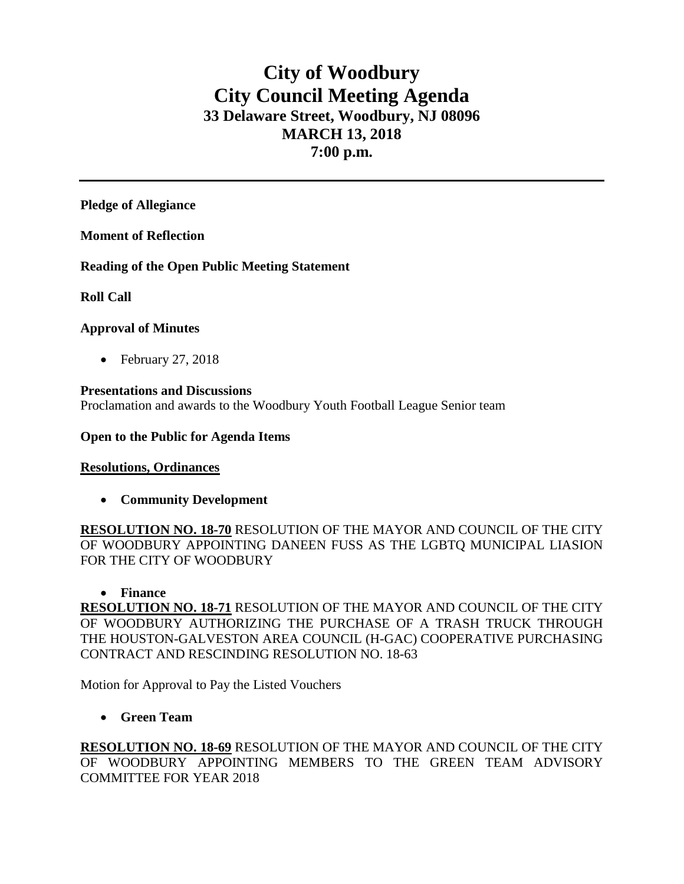# **City of Woodbury City Council Meeting Agenda 33 Delaware Street, Woodbury, NJ 08096 MARCH 13, 2018 7:00 p.m.**

**Pledge of Allegiance**

**Moment of Reflection**

**Reading of the Open Public Meeting Statement**

**Roll Call**

# **Approval of Minutes**

• February 27, 2018

# **Presentations and Discussions**

Proclamation and awards to the Woodbury Youth Football League Senior team

#### **Open to the Public for Agenda Items**

#### **Resolutions, Ordinances**

• **Community Development**

**RESOLUTION NO. 18-70** RESOLUTION OF THE MAYOR AND COUNCIL OF THE CITY OF WOODBURY APPOINTING DANEEN FUSS AS THE LGBTQ MUNICIPAL LIASION FOR THE CITY OF WOODBURY

#### • **Finance**

**RESOLUTION NO. 18-71** RESOLUTION OF THE MAYOR AND COUNCIL OF THE CITY OF WOODBURY AUTHORIZING THE PURCHASE OF A TRASH TRUCK THROUGH THE HOUSTON-GALVESTON AREA COUNCIL (H-GAC) COOPERATIVE PURCHASING CONTRACT AND RESCINDING RESOLUTION NO. 18-63

Motion for Approval to Pay the Listed Vouchers

# • **Green Team**

**RESOLUTION NO. 18-69** RESOLUTION OF THE MAYOR AND COUNCIL OF THE CITY OF WOODBURY APPOINTING MEMBERS TO THE GREEN TEAM ADVISORY COMMITTEE FOR YEAR 2018